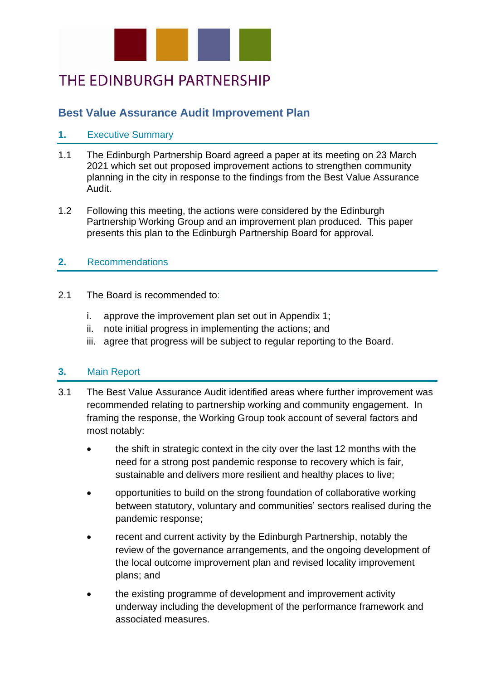

# THE EDINBURGH PARTNERSHIP

## **Best Value Assurance Audit Improvement Plan**

### **1.** Executive Summary

- 1.1 The Edinburgh Partnership Board agreed a paper at its meeting on 23 March 2021 which set out proposed improvement actions to strengthen community planning in the city in response to the findings from the Best Value Assurance Audit.
- 1.2 Following this meeting, the actions were considered by the Edinburgh Partnership Working Group and an improvement plan produced. This paper presents this plan to the Edinburgh Partnership Board for approval.

#### **2.** Recommendations

- 2.1 The Board is recommended to:
	- i. approve the improvement plan set out in Appendix 1;
	- ii. note initial progress in implementing the actions; and
	- iii. agree that progress will be subject to regular reporting to the Board.

#### **3.** Main Report

- 3.1 The Best Value Assurance Audit identified areas where further improvement was recommended relating to partnership working and community engagement. In framing the response, the Working Group took account of several factors and most notably:
	- the shift in strategic context in the city over the last 12 months with the need for a strong post pandemic response to recovery which is fair, sustainable and delivers more resilient and healthy places to live;
	- opportunities to build on the strong foundation of collaborative working between statutory, voluntary and communities' sectors realised during the pandemic response;
	- recent and current activity by the Edinburgh Partnership, notably the review of the governance arrangements, and the ongoing development of the local outcome improvement plan and revised locality improvement plans; and
	- the existing programme of development and improvement activity underway including the development of the performance framework and associated measures.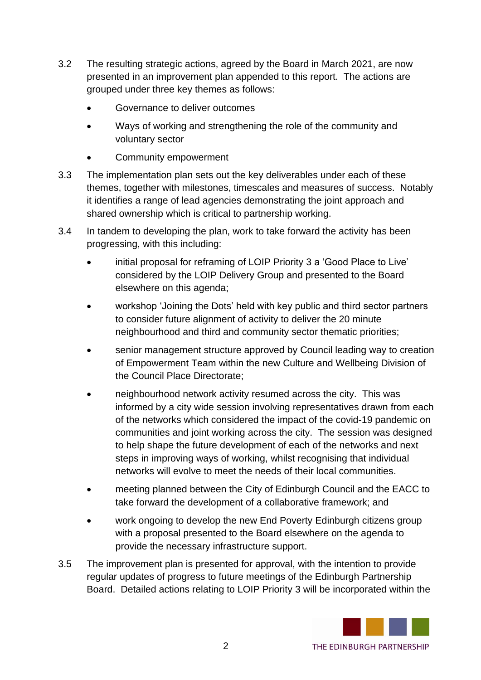- 3.2 The resulting strategic actions, agreed by the Board in March 2021, are now presented in an improvement plan appended to this report. The actions are grouped under three key themes as follows:
	- Governance to deliver outcomes
	- Ways of working and strengthening the role of the community and voluntary sector
	- Community empowerment
- 3.3 The implementation plan sets out the key deliverables under each of these themes, together with milestones, timescales and measures of success. Notably it identifies a range of lead agencies demonstrating the joint approach and shared ownership which is critical to partnership working.
- 3.4 In tandem to developing the plan, work to take forward the activity has been progressing, with this including:
	- initial proposal for reframing of LOIP Priority 3 a 'Good Place to Live' considered by the LOIP Delivery Group and presented to the Board elsewhere on this agenda;
	- workshop 'Joining the Dots' held with key public and third sector partners to consider future alignment of activity to deliver the 20 minute neighbourhood and third and community sector thematic priorities;
	- senior management structure approved by Council leading way to creation of Empowerment Team within the new Culture and Wellbeing Division of the Council Place Directorate;
	- neighbourhood network activity resumed across the city. This was informed by a city wide session involving representatives drawn from each of the networks which considered the impact of the covid-19 pandemic on communities and joint working across the city. The session was designed to help shape the future development of each of the networks and next steps in improving ways of working, whilst recognising that individual networks will evolve to meet the needs of their local communities.
	- meeting planned between the City of Edinburgh Council and the EACC to take forward the development of a collaborative framework; and
	- work ongoing to develop the new End Poverty Edinburgh citizens group with a proposal presented to the Board elsewhere on the agenda to provide the necessary infrastructure support.
- 3.5 The improvement plan is presented for approval, with the intention to provide regular updates of progress to future meetings of the Edinburgh Partnership Board. Detailed actions relating to LOIP Priority 3 will be incorporated within the

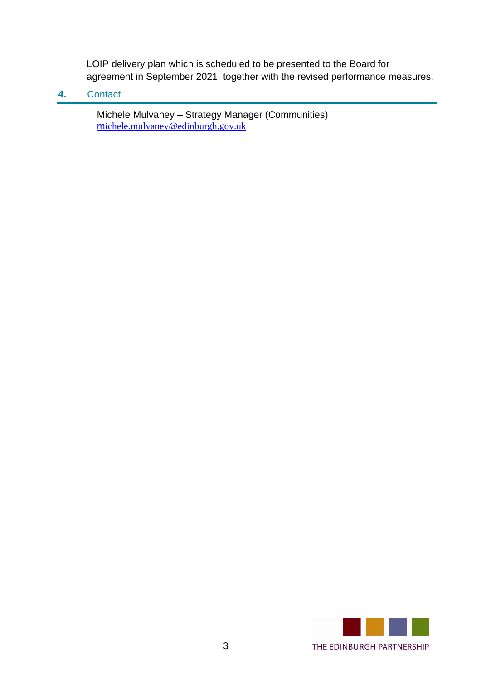LOIP delivery plan which is scheduled to be presented to the Board for agreement in September 2021, together with the revised performance measures.

**4.** Contact

Michele Mulvaney – Strategy Manager (Communities) m[ichele.mulvaney@edinburgh.gov.uk](mailto:michele.mulvaney@edinburgh.gov.uk)

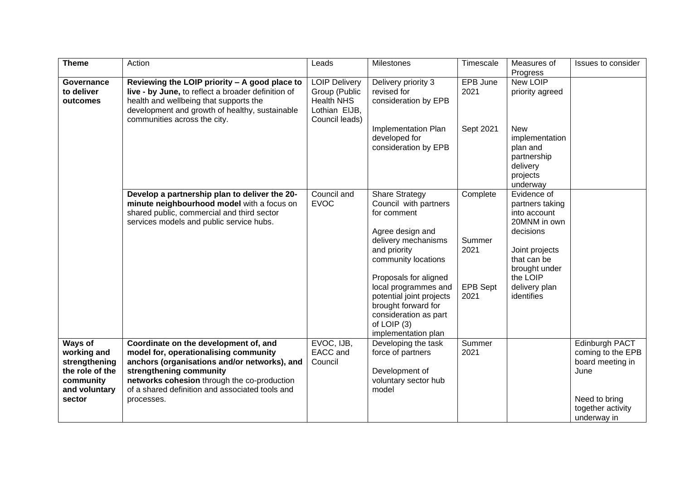| Theme                                                                                              | Action                                                                                                                                                                                                                                                                    | Leads                                                                                         | Milestones                                                                                                                                                      | Timescale               | Measures of<br>Progress                                                                     | Issues to consider                                                                                                   |
|----------------------------------------------------------------------------------------------------|---------------------------------------------------------------------------------------------------------------------------------------------------------------------------------------------------------------------------------------------------------------------------|-----------------------------------------------------------------------------------------------|-----------------------------------------------------------------------------------------------------------------------------------------------------------------|-------------------------|---------------------------------------------------------------------------------------------|----------------------------------------------------------------------------------------------------------------------|
| Governance<br>to deliver<br>outcomes                                                               | Reviewing the LOIP priority - A good place to<br>live - by June, to reflect a broader definition of<br>health and wellbeing that supports the<br>development and growth of healthy, sustainable<br>communities across the city.                                           | <b>LOIP Delivery</b><br>Group (Public<br><b>Health NHS</b><br>Lothian EIJB,<br>Council leads) | Delivery priority 3<br>revised for<br>consideration by EPB                                                                                                      | EPB June<br>2021        | <b>New LOIP</b><br>priority agreed                                                          |                                                                                                                      |
|                                                                                                    |                                                                                                                                                                                                                                                                           |                                                                                               | Implementation Plan<br>developed for<br>consideration by EPB                                                                                                    | Sept 2021               | <b>New</b><br>implementation<br>plan and<br>partnership<br>delivery<br>projects<br>underway |                                                                                                                      |
|                                                                                                    | Develop a partnership plan to deliver the 20-<br>minute neighbourhood model with a focus on<br>shared public, commercial and third sector<br>services models and public service hubs.                                                                                     | Council and<br><b>EVOC</b>                                                                    | <b>Share Strategy</b><br>Council with partners<br>for comment<br>Agree design and                                                                               | Complete                | Evidence of<br>partners taking<br>into account<br>20MNM in own<br>decisions                 |                                                                                                                      |
|                                                                                                    |                                                                                                                                                                                                                                                                           |                                                                                               | delivery mechanisms<br>and priority<br>community locations                                                                                                      | Summer<br>2021          | Joint projects<br>that can be<br>brought under<br>the LOIP                                  |                                                                                                                      |
|                                                                                                    |                                                                                                                                                                                                                                                                           |                                                                                               | Proposals for aligned<br>local programmes and<br>potential joint projects<br>brought forward for<br>consideration as part<br>of LOIP (3)<br>implementation plan | <b>EPB Sept</b><br>2021 | delivery plan<br>identifies                                                                 |                                                                                                                      |
| Ways of<br>working and<br>strengthening<br>the role of the<br>community<br>and voluntary<br>sector | Coordinate on the development of, and<br>model for, operationalising community<br>anchors (organisations and/or networks), and<br>strengthening community<br>networks cohesion through the co-production<br>of a shared definition and associated tools and<br>processes. | EVOC, IJB,<br>EACC and<br>Council                                                             | Developing the task<br>force of partners<br>Development of<br>voluntary sector hub<br>model                                                                     | Summer<br>2021          |                                                                                             | Edinburgh PACT<br>coming to the EPB<br>board meeting in<br>June<br>Need to bring<br>together activity<br>underway in |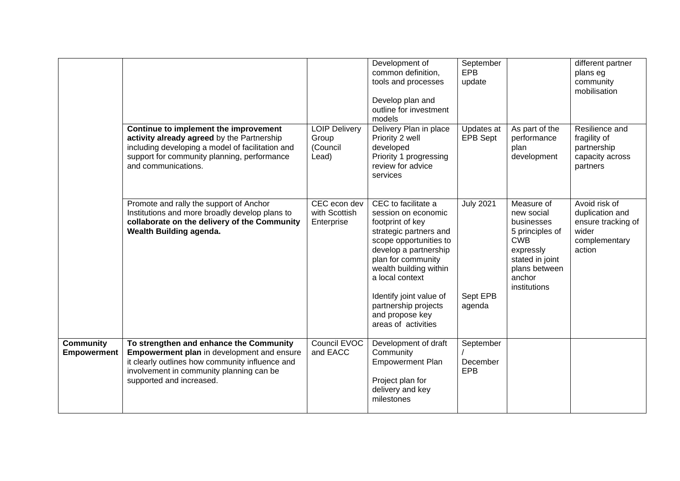|                                        |                                                                                                                                                                                                                         |                                                    | Development of<br>common definition,<br>tools and processes<br>Develop plan and<br>outline for investment<br>models                                                                                                                                                                                         | September<br><b>EPB</b><br>update      |                                                                                                                                             | different partner<br>plans eg<br>community<br>mobilisation                                 |
|----------------------------------------|-------------------------------------------------------------------------------------------------------------------------------------------------------------------------------------------------------------------------|----------------------------------------------------|-------------------------------------------------------------------------------------------------------------------------------------------------------------------------------------------------------------------------------------------------------------------------------------------------------------|----------------------------------------|---------------------------------------------------------------------------------------------------------------------------------------------|--------------------------------------------------------------------------------------------|
|                                        | Continue to implement the improvement<br>activity already agreed by the Partnership<br>including developing a model of facilitation and<br>support for community planning, performance<br>and communications.           | <b>LOIP Delivery</b><br>Group<br>(Council<br>Lead) | Delivery Plan in place<br>Priority 2 well<br>developed<br>Priority 1 progressing<br>review for advice<br>services                                                                                                                                                                                           | Updates at<br><b>EPB Sept</b>          | As part of the<br>performance<br>plan<br>development                                                                                        | Resilience and<br>fragility of<br>partnership<br>capacity across<br>partners               |
|                                        | Promote and rally the support of Anchor<br>Institutions and more broadly develop plans to<br>collaborate on the delivery of the Community<br>Wealth Building agenda.                                                    | CEC econ dev<br>with Scottish<br>Enterprise        | CEC to facilitate a<br>session on economic<br>footprint of key<br>strategic partners and<br>scope opportunities to<br>develop a partnership<br>plan for community<br>wealth building within<br>a local context<br>Identify joint value of<br>partnership projects<br>and propose key<br>areas of activities | <b>July 2021</b><br>Sept EPB<br>agenda | Measure of<br>new social<br>businesses<br>5 principles of<br>CWB<br>expressly<br>stated in joint<br>plans between<br>anchor<br>institutions | Avoid risk of<br>duplication and<br>ensure tracking of<br>wider<br>complementary<br>action |
| <b>Community</b><br><b>Empowerment</b> | To strengthen and enhance the Community<br><b>Empowerment plan</b> in development and ensure<br>it clearly outlines how community influence and<br>involvement in community planning can be<br>supported and increased. | Council EVOC<br>and EACC                           | Development of draft<br>Community<br><b>Empowerment Plan</b><br>Project plan for<br>delivery and key<br>milestones                                                                                                                                                                                          | September<br>December<br><b>EPB</b>    |                                                                                                                                             |                                                                                            |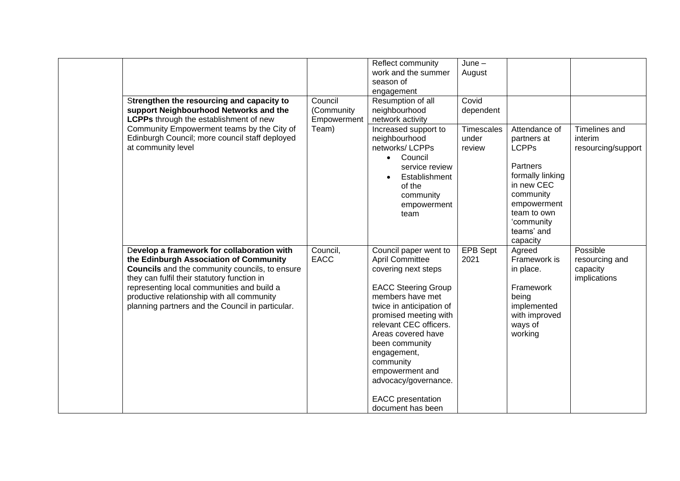|                                                                                                                                                                                                                                                                                                                                              |                                      | Reflect community<br>work and the summer<br>season of<br>engagement                                                                                                                                                                                                                                                                                                     | $June -$<br>August                   |                                                                                                                                                                               |                                                        |
|----------------------------------------------------------------------------------------------------------------------------------------------------------------------------------------------------------------------------------------------------------------------------------------------------------------------------------------------|--------------------------------------|-------------------------------------------------------------------------------------------------------------------------------------------------------------------------------------------------------------------------------------------------------------------------------------------------------------------------------------------------------------------------|--------------------------------------|-------------------------------------------------------------------------------------------------------------------------------------------------------------------------------|--------------------------------------------------------|
| Strengthen the resourcing and capacity to<br>support Neighbourhood Networks and the<br>LCPPs through the establishment of new                                                                                                                                                                                                                | Council<br>(Community<br>Empowerment | Resumption of all<br>neighbourhood<br>network activity                                                                                                                                                                                                                                                                                                                  | Covid<br>dependent                   |                                                                                                                                                                               |                                                        |
| Community Empowerment teams by the City of<br>Edinburgh Council; more council staff deployed<br>at community level                                                                                                                                                                                                                           | Team)                                | Increased support to<br>neighbourhood<br>networks/LCPPs<br>Council<br>service review<br>Establishment<br>of the<br>community<br>empowerment<br>team                                                                                                                                                                                                                     | <b>Timescales</b><br>under<br>review | Attendance of<br>partners at<br><b>LCPPs</b><br>Partners<br>formally linking<br>in new CEC<br>community<br>empowerment<br>team to own<br>'community<br>teams' and<br>capacity | Timelines and<br>interim<br>resourcing/support         |
| Develop a framework for collaboration with<br>the Edinburgh Association of Community<br><b>Councils</b> and the community councils, to ensure<br>they can fulfil their statutory function in<br>representing local communities and build a<br>productive relationship with all community<br>planning partners and the Council in particular. | Council,<br><b>EACC</b>              | Council paper went to<br><b>April Committee</b><br>covering next steps<br><b>EACC Steering Group</b><br>members have met<br>twice in anticipation of<br>promised meeting with<br>relevant CEC officers.<br>Areas covered have<br>been community<br>engagement,<br>community<br>empowerment and<br>advocacy/governance.<br><b>EACC</b> presentation<br>document has been | <b>EPB Sept</b><br>2021              | Agreed<br>Framework is<br>in place.<br>Framework<br>being<br>implemented<br>with improved<br>ways of<br>working                                                               | Possible<br>resourcing and<br>capacity<br>implications |